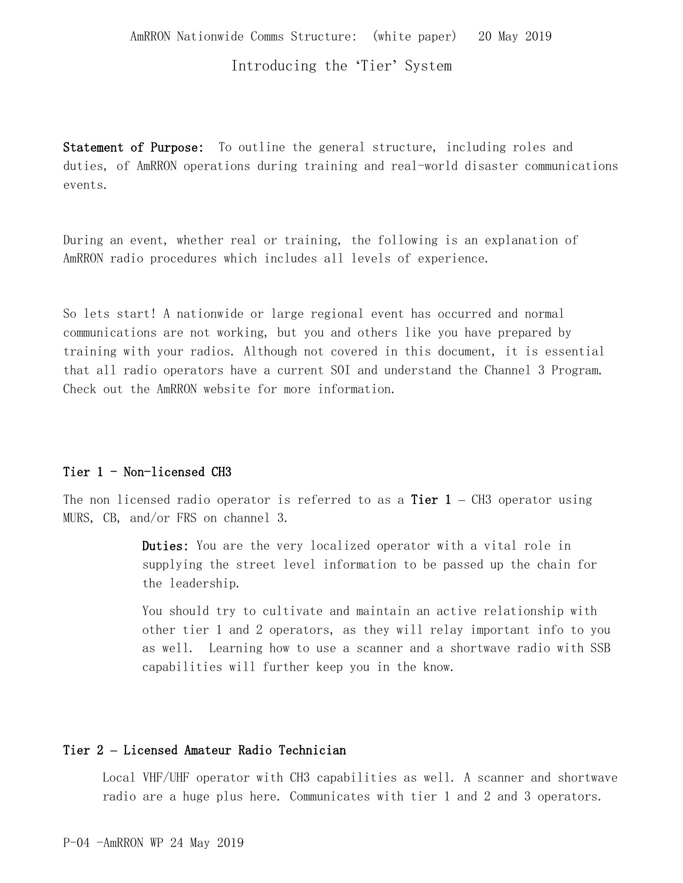### Introducing the 'Tier' System

Statement of Purpose: To outline the general structure, including roles and duties, of AmRRON operations during training and real-world disaster communications events.

During an event, whether real or training, the following is an explanation of AmRRON radio procedures which includes all levels of experience.

So lets start! A nationwide or large regional event has occurred and normal communications are not working, but you and others like you have prepared by training with your radios. Although not covered in this document, it is essential that all radio operators have a current SOI and understand the Channel 3 Program. Check out the AmRRON website for more information.

### Tier 1 - Non-licensed CH3

The non licensed radio operator is referred to as a **Tier 1** – CH3 operator using MURS, CB, and/or FRS on channel 3.

> Duties: You are the very localized operator with a vital role in supplying the street level information to be passed up the chain for the leadership.

You should try to cultivate and maintain an active relationship with other tier 1 and 2 operators, as they will relay important info to you as well. Learning how to use a scanner and a shortwave radio with SSB capabilities will further keep you in the know.

### Tier 2 **–** Licensed Amateur Radio Technician

Local VHF/UHF operator with CH3 capabilities as well. A scanner and shortwave radio are a huge plus here. Communicates with tier 1 and 2 and 3 operators.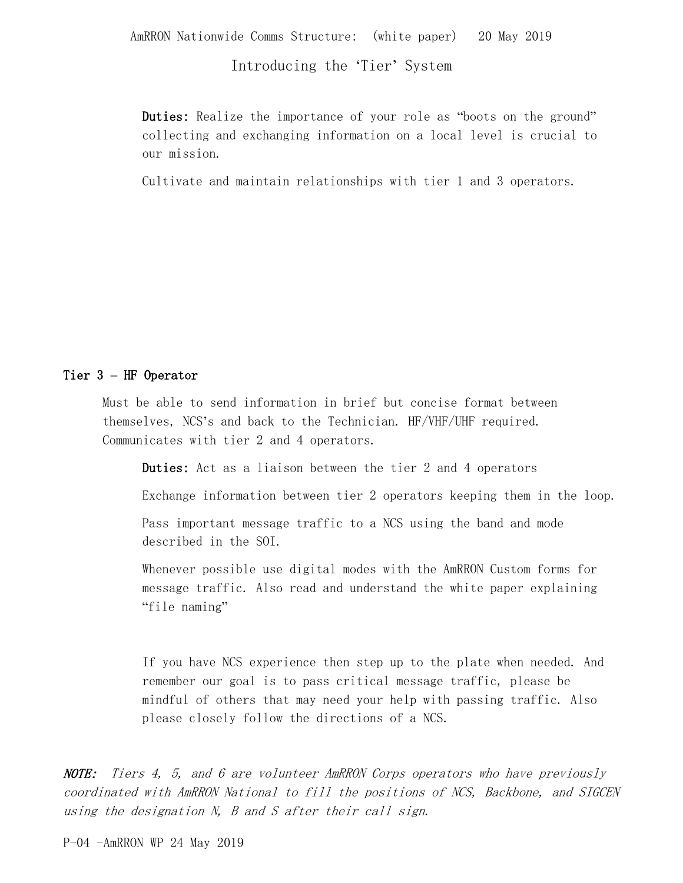AmRRON Nationwide Comms Structure: (white paper) 20 May 2019

Introducing the 'Tier' System

Duties: Realize the importance of your role as "boots on the ground" collecting and exchanging information on a local level is crucial to our mission.

Cultivate and maintain relationships with tier 1 and 3 operators.

### Tier 3 **–** HF Operator

Must be able to send information in brief but concise format between themselves, NCS's and back to the Technician. HF/VHF/UHF required. Communicates with tier 2 and 4 operators.

Duties: Act as a liaison between the tier 2 and 4 operators

Exchange information between tier 2 operators keeping them in the loop.

Pass important message traffic to a NCS using the band and mode described in the SOI.

Whenever possible use digital modes with the AmRRON Custom forms for message traffic. Also read and understand the white paper explaining "file naming"

If you have NCS experience then step up to the plate when needed. And remember our goal is to pass critical message traffic, please be mindful of others that may need your help with passing traffic. Also please closely follow the directions of a NCS.

NOTE: Tiers 4, 5, and 6 are volunteer AmRRON Corps operators who have previously coordinated with AmRRON National to fill the positions of NCS, Backbone, and SIGCEN using the designation N, B and S after their call sign.

P-04 -AmRRON WP 24 May 2019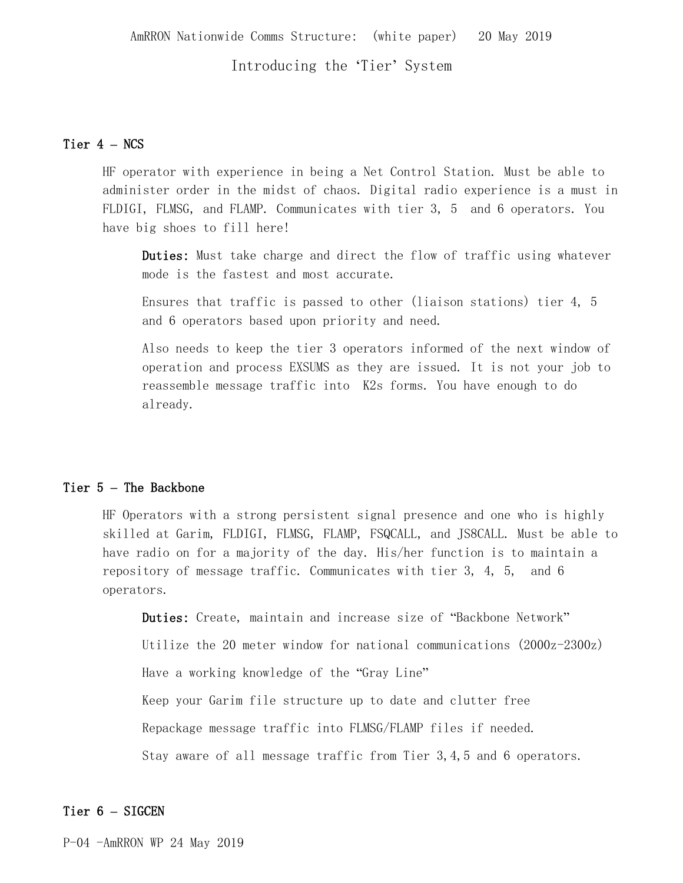### Introducing the 'Tier' System

### Tier 4 **–** NCS

HF operator with experience in being a Net Control Station. Must be able to administer order in the midst of chaos. Digital radio experience is a must in FLDIGI, FLMSG, and FLAMP. Communicates with tier 3, 5 and 6 operators. You have big shoes to fill here!

Duties: Must take charge and direct the flow of traffic using whatever mode is the fastest and most accurate.

Ensures that traffic is passed to other (liaison stations) tier 4, 5 and 6 operators based upon priority and need.

Also needs to keep the tier 3 operators informed of the next window of operation and process EXSUMS as they are issued. It is not your job to reassemble message traffic into K2s forms. You have enough to do already.

#### Tier 5 **–** The Backbone

HF Operators with a strong persistent signal presence and one who is highly skilled at Garim, FLDIGI, FLMSG, FLAMP, FSQCALL, and JS8CALL. Must be able to have radio on for a majority of the day. His/her function is to maintain a repository of message traffic. Communicates with tier 3, 4, 5, and 6 operators.

Duties: Create, maintain and increase size of "Backbone Network" Utilize the 20 meter window for national communications  $(2000z-2300z)$ Have a working knowledge of the "Gray Line" Keep your Garim file structure up to date and clutter free Repackage message traffic into FLMSG/FLAMP files if needed. Stay aware of all message traffic from Tier 3,4,5 and 6 operators.

### Tier 6 **–** SIGCEN

P-04 -AmRRON WP 24 May 2019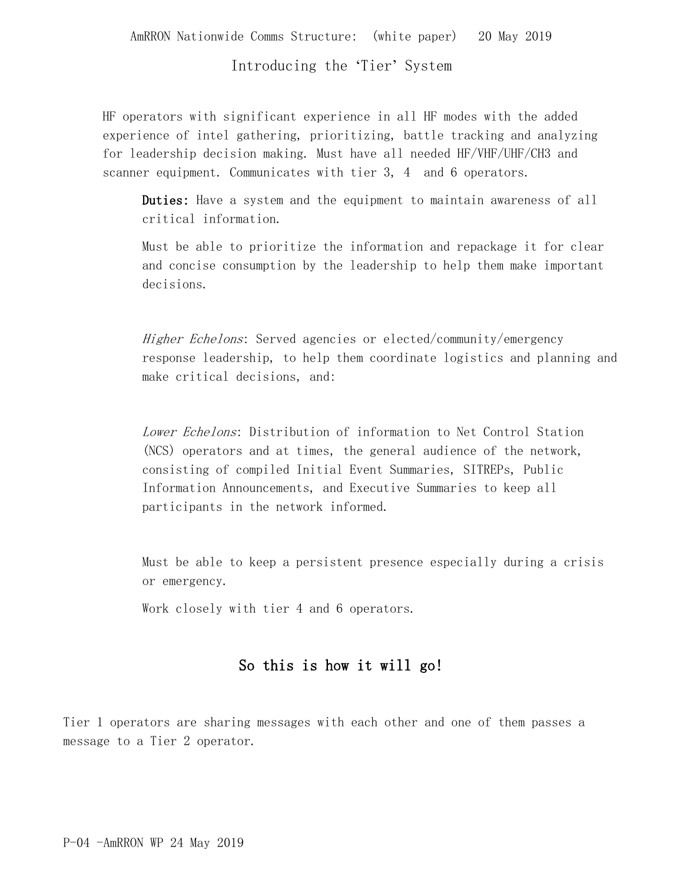AmRRON Nationwide Comms Structure: (white paper) 20 May 2019

Introducing the 'Tier' System

HF operators with significant experience in all HF modes with the added experience of intel gathering, prioritizing, battle tracking and analyzing for leadership decision making. Must have all needed HF/VHF/UHF/CH3 and scanner equipment. Communicates with tier 3, 4 and 6 operators.

Duties: Have a system and the equipment to maintain awareness of all critical information.

Must be able to prioritize the information and repackage it for clear and concise consumption by the leadership to help them make important decisions.

Higher Echelons: Served agencies or elected/community/emergency response leadership, to help them coordinate logistics and planning and make critical decisions, and:

Lower Echelons: Distribution of information to Net Control Station (NCS) operators and at times, the general audience of the network, consisting of compiled Initial Event Summaries, SITREPs, Public Information Announcements, and Executive Summaries to keep all participants in the network informed.

Must be able to keep a persistent presence especially during a crisis or emergency.

Work closely with tier 4 and 6 operators.

# So this is how it will go!

Tier 1 operators are sharing messages with each other and one of them passes a message to a Tier 2 operator.